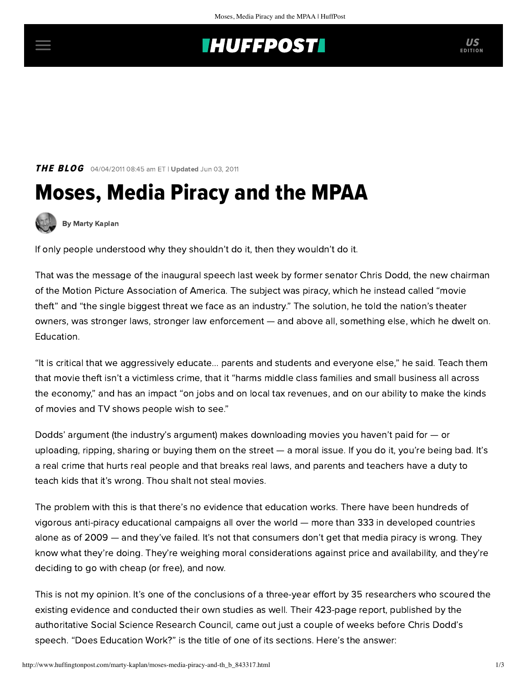## **INUFFPOSTI** US

**THE BLOG** 04/04/2011 08:45 am ET | Updated Jun 03, 2011

## Moses, Media Piracy and the MPAA



[By Marty Kaplan](http://www.huffingtonpost.com/author/marty-kaplan)

If only people understood why they shouldn't do it, then they wouldn't do it.

That was the message of the [inaugural speech](http://www.hollywoodreporter.com/topic/cinemacon-172906) last week by former senator Chris Dodd, the new chairman of the Motion Picture Association of America. The subject was piracy, which he instead called "movie theft" and "the single biggest threat we face as an industry." The solution, he told the nation's theater owners, was stronger laws, stronger law enforcement — and above all, something else, which he dwelt on. Education.

"It is critical that we aggressively educate... parents and students and everyone else," he said. Teach them that movie theft isn't a victimless crime, that it "harms middle class families and small business all across the economy," and has an impact "on jobs and on local tax revenues, and on our ability to make the kinds of movies and TV shows people wish to see."

Dodds' argument (the industry's argument) makes downloading movies you haven't paid for — or uploading, ripping, sharing or buying them on the street — a moral issue. If you do it, you're being bad. It's a real crime that hurts real people and that breaks real laws, and parents and teachers have a duty to teach kids that it's wrong. Thou shalt not steal movies.

The problem with this is that there's no evidence that education works. There have been [hundreds](http://www.google.com/search?sourceid=chrome&ie=UTF-8&q=anti-piracy+educational+campaigns#sclient=psy&hl=en&source=hp&q=anti-piracy+educational+campaign&aq=f&aqi=&aql=&oq=&pbx=1&bav=on.2,or.r_gc.r_pw.&fp=45bd994ff6530a21) of vigorous anti-piracy educational campaigns all over the world — more than 333 in developed countries alone as of 2009 — and they've failed. It's not that consumers don't get that media piracy is wrong. They know what they're doing. They're weighing moral considerations against price and availability, and they're deciding to go with cheap (or free), and now.

This is not my opinion. It's one of the conclusions of a three-year effort by 35 researchers who scoured the existing evidence and conducted their own studies as well. Their 423-page [report,](http://piracy.ssrc.org/) published by the authoritative Social Science Research Council, came out just a couple of weeks before Chris Dodd's speech. "Does Education Work?" is the title of one of its sections. Here's the answer: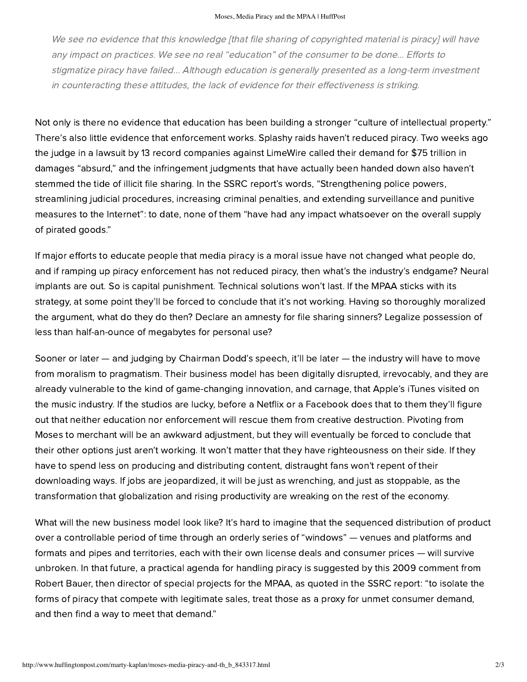We see no evidence that this knowledge [that file sharing of copyrighted material is piracy] will have any impact on practices. We see no real "education" of the consumer to be done... Efforts to stigmatize piracy have failed... Although education is generally presented as a long-term investment in counteracting these attitudes, the lack of evidence for their effectiveness is striking.

Not only is there no evidence that education has been building a stronger "culture of intellectual property." There's also little evidence that enforcement works. Splashy raids haven't reduced piracy. Two weeks ago the judge in a lawsuit by 13 record companies against LimeWire called their demand for \$75 trillion in damages ["absurd," and the infringement judgments that have actually been handed down also haven](http://www.law.com/jsp/cc/PubArticleCC.jsp?id=1202486102650&Manhattan_Federal_Judge_Kimba_Wood_Calls_Record_Companies_Request_for__Trillion_in_Damages_Absurd_in_Lime_Wire_Copyright_Case)'t stemmed the tide of illicit file sharing. In the SSRC report's words, "Strengthening police powers, streamlining judicial procedures, increasing criminal penalties, and extending surveillance and punitive measures to the Internet": to date, none of them "have had any impact whatsoever on the overall supply of pirated goods."

If major efforts to educate people that media piracy is a moral issue have not changed what people do, and if ramping up piracy enforcement has not reduced piracy, then what's the industry's endgame? Neural implants are out. So is capital punishment. Technical solutions won't last. If the MPAA sticks with its strategy, at some point they'll be forced to conclude that it's not working. Having so thoroughly moralized the argument, what do they do then? Declare an amnesty for file sharing sinners? Legalize possession of less than half-an-ounce of megabytes for personal use?

Sooner or later — and judging by Chairman Dodd's speech, it'll be later — the industry will have to move from moralism to pragmatism. Their business model has been digitally disrupted, irrevocably, and they are already vulnerable to the kind of game-changing innovation, and carnage, that Apple's iTunes visited on the music industry. If the studios are lucky, before a Netflix or a Facebook does that to them they'll figure out that neither education nor enforcement will rescue them from creative destruction. Pivoting from Moses to merchant will be an awkward adjustment, but they will eventually be forced to conclude that their other options just aren't working. It won't matter that they have righteousness on their side. If they have to spend less on producing and distributing content, distraught fans won't repent of their downloading ways. If jobs are jeopardized, it will be just as wrenching, and just as stoppable, as the transformation that globalization and rising productivity are wreaking on the rest of the economy.

What will the new business model look like? It's hard to imagine that the sequenced distribution of product over a controllable period of time through an orderly series of "windows" — venues and platforms and formats and pipes and territories, each with their own license deals and consumer prices — will survive unbroken. In that future, a practical agenda for handling piracy is suggested by this 2009 comment from Robert Bauer, then director of special projects for the MPAA, as quoted in the [SSRC report:](http://piracy.ssrc.org/things-get-a-little-wild/#more-431) "to isolate the forms of piracy that compete with legitimate sales, treat those as a proxy for unmet consumer demand, and then find a way to meet that demand."